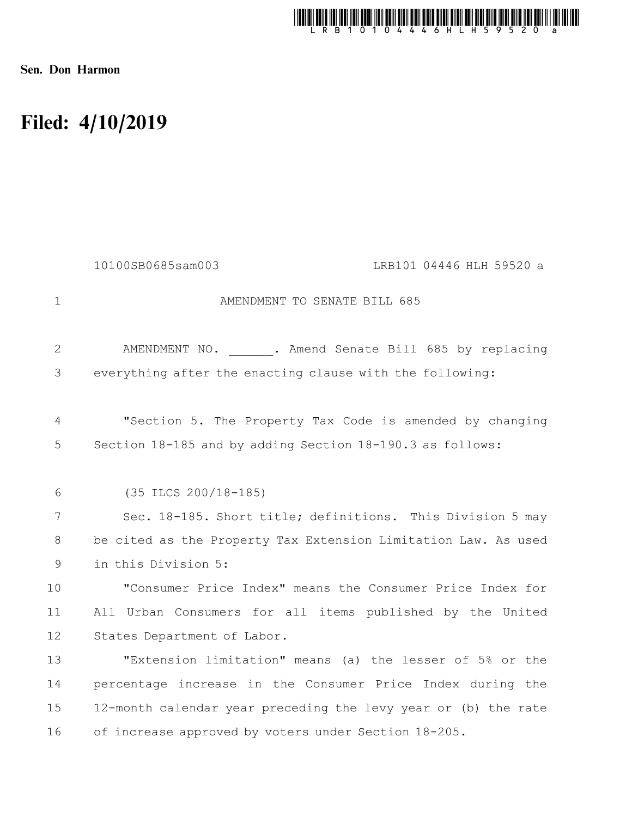

Sen. Don Harmon

## Filed: 4/10/2019

|                | 10100SB0685sam003<br>LRB101 04446 HLH 59520 a                  |
|----------------|----------------------------------------------------------------|
| $\mathbf{1}$   | AMENDMENT TO SENATE BILL 685                                   |
| $\overline{2}$ | AMENDMENT NO. . Amend Senate Bill 685 by replacing             |
| 3              | everything after the enacting clause with the following:       |
| 4              | "Section 5. The Property Tax Code is amended by changing       |
| 5              | Section 18-185 and by adding Section 18-190.3 as follows:      |
| 6              | $(35$ ILCS $200/18-185)$                                       |
| 7              | Sec. 18-185. Short title; definitions. This Division 5 may     |
| 8              | be cited as the Property Tax Extension Limitation Law. As used |
| 9              | in this Division 5:                                            |
| 10             | "Consumer Price Index" means the Consumer Price Index for      |
| 11             | All Urban Consumers for all items published by the United      |
| 12             | States Department of Labor.                                    |
| 13             | "Extension limitation" means (a) the lesser of 5% or the       |
| 14             | percentage increase in the Consumer Price Index during the     |
| 15             | 12-month calendar year preceding the levy year or (b) the rate |
| 16             | of increase approved by voters under Section 18-205.           |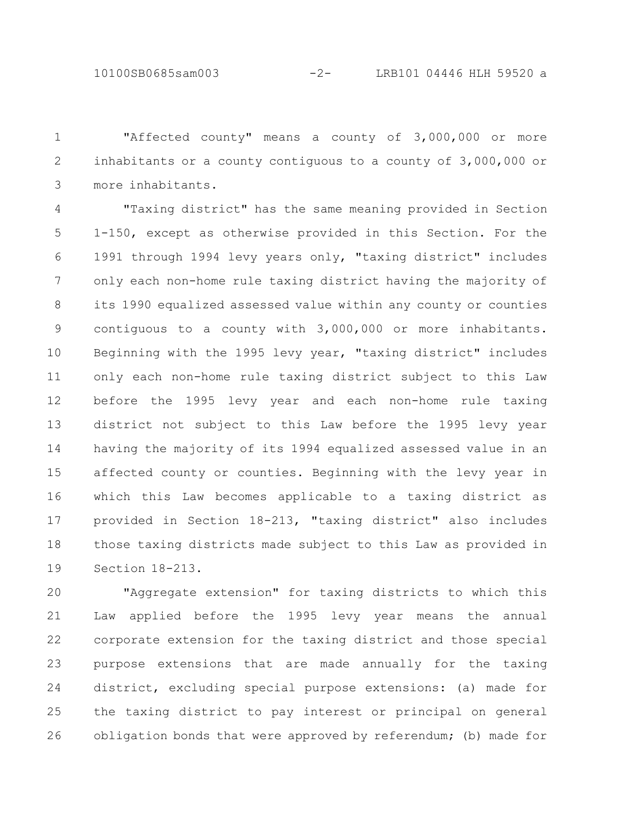"Affected county" means a county of 3,000,000 or more inhabitants or a county contiguous to a county of 3,000,000 or more inhabitants. 1 2 3

"Taxing district" has the same meaning provided in Section 1-150, except as otherwise provided in this Section. For the 1991 through 1994 levy years only, "taxing district" includes only each non-home rule taxing district having the majority of its 1990 equalized assessed value within any county or counties contiguous to a county with 3,000,000 or more inhabitants. Beginning with the 1995 levy year, "taxing district" includes only each non-home rule taxing district subject to this Law before the 1995 levy year and each non-home rule taxing district not subject to this Law before the 1995 levy year having the majority of its 1994 equalized assessed value in an affected county or counties. Beginning with the levy year in which this Law becomes applicable to a taxing district as provided in Section 18-213, "taxing district" also includes those taxing districts made subject to this Law as provided in Section 18-213. 4 5 6 7 8 9 10 11 12 13 14 15 16 17 18 19

"Aggregate extension" for taxing districts to which this Law applied before the 1995 levy year means the annual corporate extension for the taxing district and those special purpose extensions that are made annually for the taxing district, excluding special purpose extensions: (a) made for the taxing district to pay interest or principal on general obligation bonds that were approved by referendum; (b) made for 20 21 22 23 24 25 26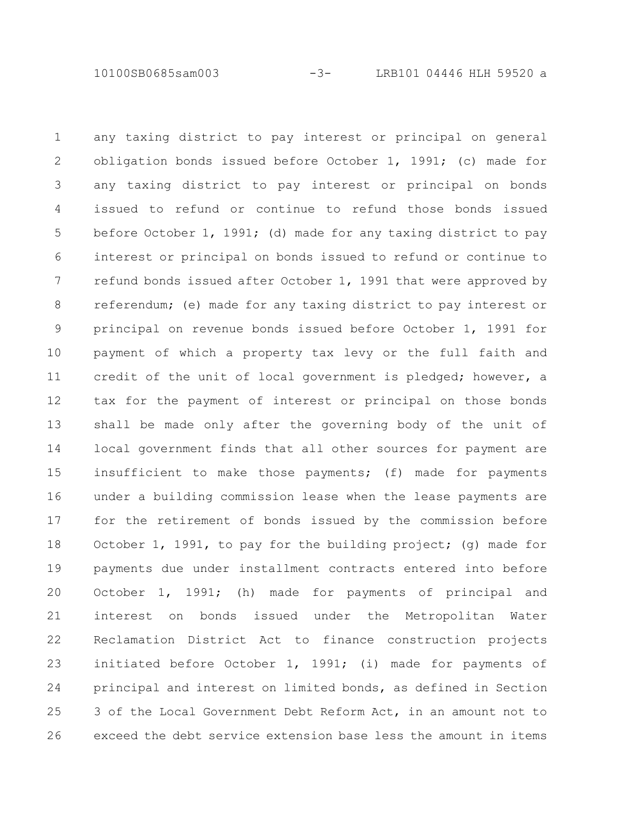10100SB0685sam003 -3- LRB101 04446 HLH 59520 a

any taxing district to pay interest or principal on general obligation bonds issued before October 1, 1991; (c) made for any taxing district to pay interest or principal on bonds issued to refund or continue to refund those bonds issued before October 1, 1991; (d) made for any taxing district to pay interest or principal on bonds issued to refund or continue to refund bonds issued after October 1, 1991 that were approved by referendum; (e) made for any taxing district to pay interest or principal on revenue bonds issued before October 1, 1991 for payment of which a property tax levy or the full faith and credit of the unit of local government is pledged; however, a tax for the payment of interest or principal on those bonds shall be made only after the governing body of the unit of local government finds that all other sources for payment are insufficient to make those payments; (f) made for payments under a building commission lease when the lease payments are for the retirement of bonds issued by the commission before October 1, 1991, to pay for the building project; (g) made for payments due under installment contracts entered into before October 1, 1991; (h) made for payments of principal and interest on bonds issued under the Metropolitan Water Reclamation District Act to finance construction projects initiated before October 1, 1991; (i) made for payments of principal and interest on limited bonds, as defined in Section 3 of the Local Government Debt Reform Act, in an amount not to exceed the debt service extension base less the amount in items 1 2 3 4 5 6 7 8 9 10 11 12 13 14 15 16 17 18 19 20 21 22 23 24 25 26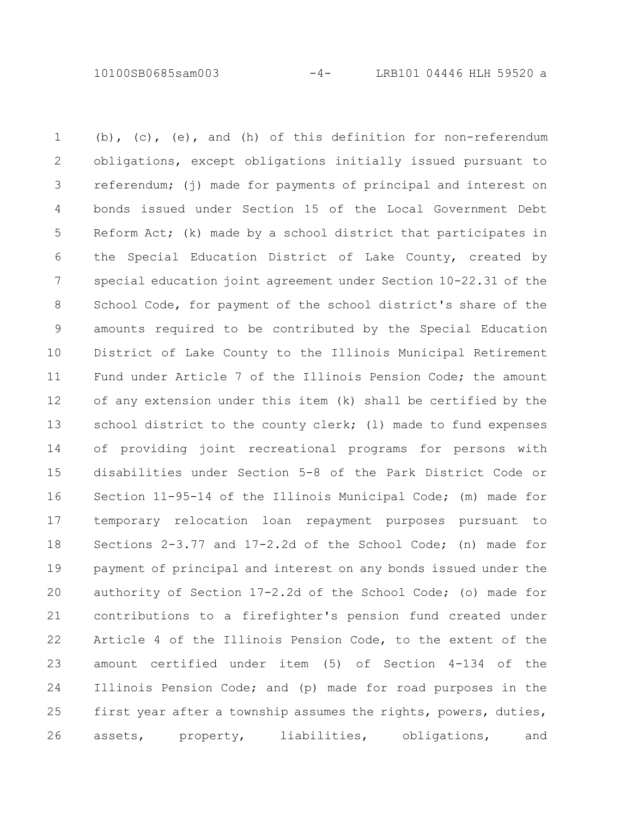10100SB0685sam003 -4- LRB101 04446 HLH 59520 a

(b), (c), (e), and (h) of this definition for non-referendum obligations, except obligations initially issued pursuant to referendum; (j) made for payments of principal and interest on bonds issued under Section 15 of the Local Government Debt Reform Act; (k) made by a school district that participates in the Special Education District of Lake County, created by special education joint agreement under Section 10-22.31 of the School Code, for payment of the school district's share of the amounts required to be contributed by the Special Education District of Lake County to the Illinois Municipal Retirement Fund under Article 7 of the Illinois Pension Code; the amount of any extension under this item (k) shall be certified by the school district to the county clerk; (1) made to fund expenses of providing joint recreational programs for persons with disabilities under Section 5-8 of the Park District Code or Section 11-95-14 of the Illinois Municipal Code; (m) made for temporary relocation loan repayment purposes pursuant to Sections 2-3.77 and 17-2.2d of the School Code; (n) made for payment of principal and interest on any bonds issued under the authority of Section 17-2.2d of the School Code; (o) made for contributions to a firefighter's pension fund created under Article 4 of the Illinois Pension Code, to the extent of the amount certified under item (5) of Section 4-134 of the Illinois Pension Code; and (p) made for road purposes in the first year after a township assumes the rights, powers, duties, assets, property, liabilities, obligations, and 1 2 3 4 5 6 7 8 9 10 11 12 13 14 15 16 17 18 19 20 21 22 23 24 25 26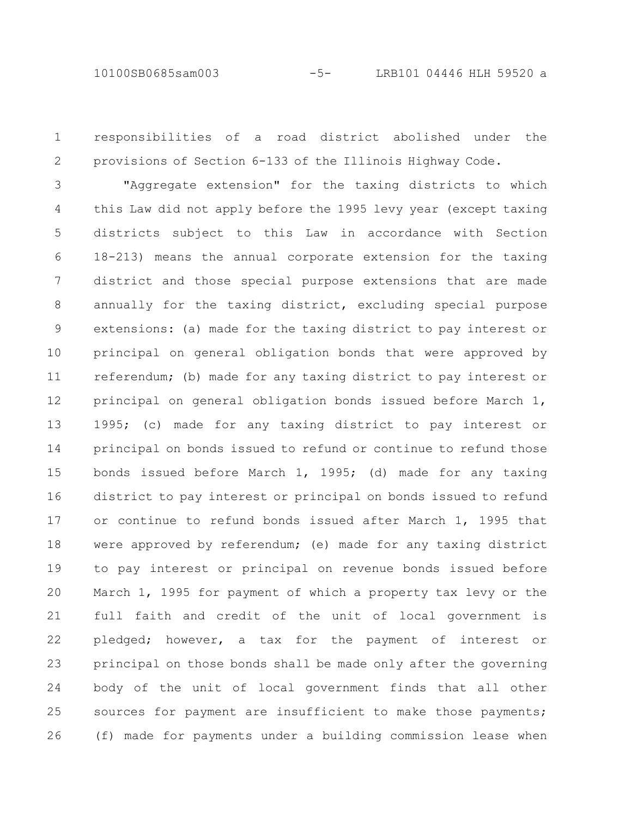responsibilities of a road district abolished under the provisions of Section 6-133 of the Illinois Highway Code. 1 2

"Aggregate extension" for the taxing districts to which this Law did not apply before the 1995 levy year (except taxing districts subject to this Law in accordance with Section 18-213) means the annual corporate extension for the taxing district and those special purpose extensions that are made annually for the taxing district, excluding special purpose extensions: (a) made for the taxing district to pay interest or principal on general obligation bonds that were approved by referendum; (b) made for any taxing district to pay interest or principal on general obligation bonds issued before March 1, 1995; (c) made for any taxing district to pay interest or principal on bonds issued to refund or continue to refund those bonds issued before March 1, 1995; (d) made for any taxing district to pay interest or principal on bonds issued to refund or continue to refund bonds issued after March 1, 1995 that were approved by referendum; (e) made for any taxing district to pay interest or principal on revenue bonds issued before March 1, 1995 for payment of which a property tax levy or the full faith and credit of the unit of local government is pledged; however, a tax for the payment of interest or principal on those bonds shall be made only after the governing body of the unit of local government finds that all other sources for payment are insufficient to make those payments; (f) made for payments under a building commission lease when 3 4 5 6 7 8 9 10 11 12 13 14 15 16 17 18 19 20 21 22 23 24 25 26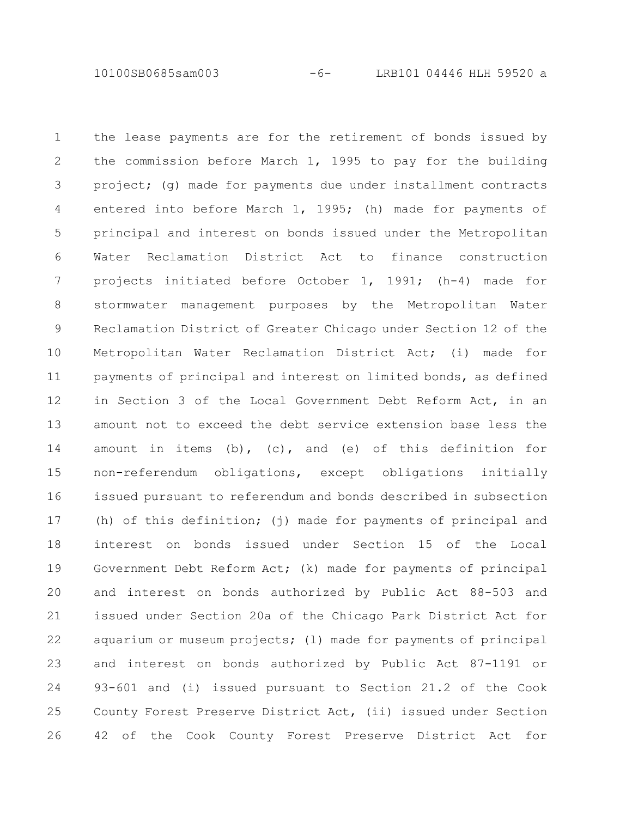10100SB0685sam003 -6- LRB101 04446 HLH 59520 a

the lease payments are for the retirement of bonds issued by the commission before March 1, 1995 to pay for the building project; (g) made for payments due under installment contracts entered into before March 1, 1995; (h) made for payments of principal and interest on bonds issued under the Metropolitan Water Reclamation District Act to finance construction projects initiated before October 1, 1991; (h-4) made for stormwater management purposes by the Metropolitan Water Reclamation District of Greater Chicago under Section 12 of the Metropolitan Water Reclamation District Act; (i) made for payments of principal and interest on limited bonds, as defined in Section 3 of the Local Government Debt Reform Act, in an amount not to exceed the debt service extension base less the amount in items (b), (c), and (e) of this definition for non-referendum obligations, except obligations initially issued pursuant to referendum and bonds described in subsection (h) of this definition; (j) made for payments of principal and interest on bonds issued under Section 15 of the Local Government Debt Reform Act; (k) made for payments of principal and interest on bonds authorized by Public Act 88-503 and issued under Section 20a of the Chicago Park District Act for aquarium or museum projects; (l) made for payments of principal and interest on bonds authorized by Public Act 87-1191 or 93-601 and (i) issued pursuant to Section 21.2 of the Cook County Forest Preserve District Act, (ii) issued under Section 42 of the Cook County Forest Preserve District Act for 1 2 3 4 5 6 7 8 9 10 11 12 13 14 15 16 17 18 19 20 21 22 23 24 25 26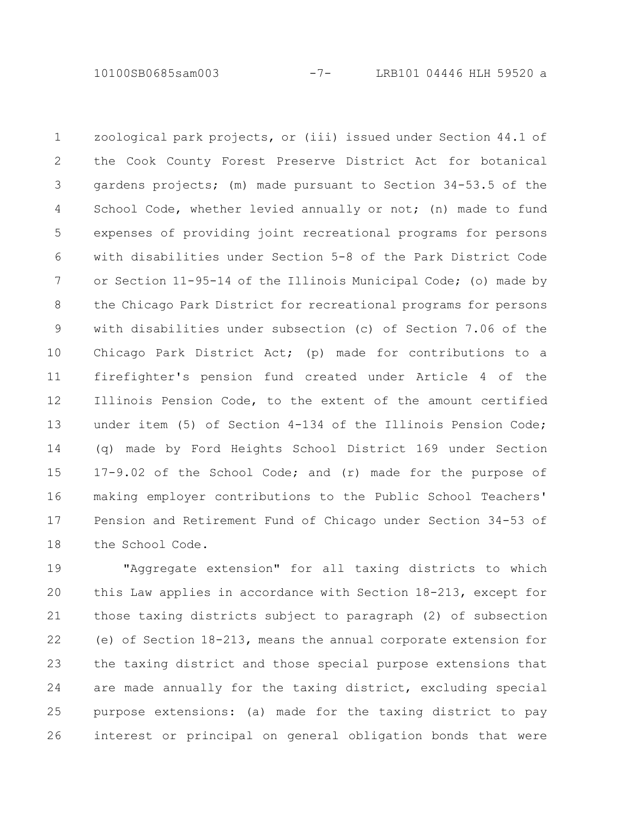10100SB0685sam003 -7- LRB101 04446 HLH 59520 a

zoological park projects, or (iii) issued under Section 44.1 of the Cook County Forest Preserve District Act for botanical gardens projects; (m) made pursuant to Section 34-53.5 of the School Code, whether levied annually or not; (n) made to fund expenses of providing joint recreational programs for persons with disabilities under Section 5-8 of the Park District Code or Section 11-95-14 of the Illinois Municipal Code; (o) made by the Chicago Park District for recreational programs for persons with disabilities under subsection (c) of Section 7.06 of the Chicago Park District Act; (p) made for contributions to a firefighter's pension fund created under Article 4 of the Illinois Pension Code, to the extent of the amount certified under item (5) of Section 4-134 of the Illinois Pension Code; (q) made by Ford Heights School District 169 under Section 17-9.02 of the School Code; and (r) made for the purpose of making employer contributions to the Public School Teachers' Pension and Retirement Fund of Chicago under Section 34-53 of the School Code. 1 2 3 4 5 6 7 8 9 10 11 12 13 14 15 16 17 18

"Aggregate extension" for all taxing districts to which this Law applies in accordance with Section 18-213, except for those taxing districts subject to paragraph (2) of subsection (e) of Section 18-213, means the annual corporate extension for the taxing district and those special purpose extensions that are made annually for the taxing district, excluding special purpose extensions: (a) made for the taxing district to pay interest or principal on general obligation bonds that were 19 20 21 22 23 24 25 26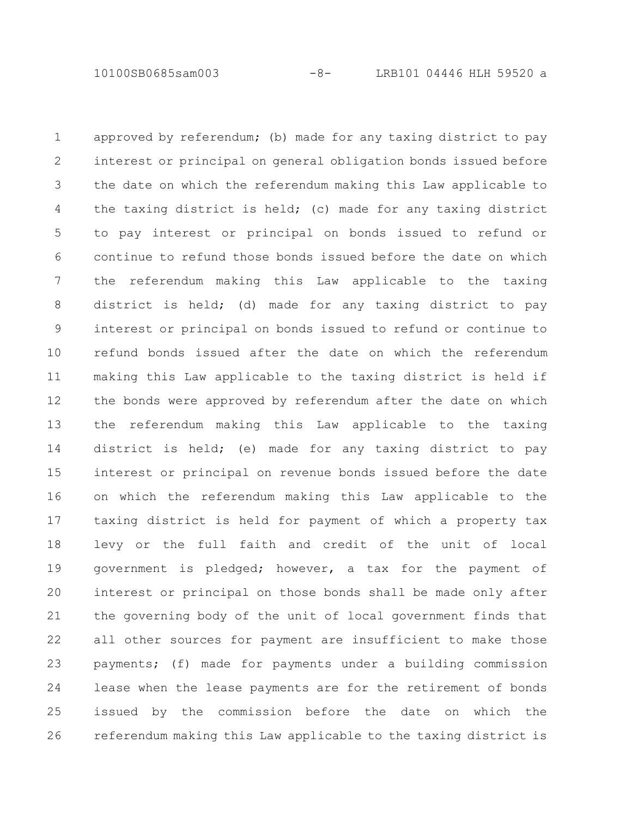10100SB0685sam003 -8- LRB101 04446 HLH 59520 a

approved by referendum; (b) made for any taxing district to pay interest or principal on general obligation bonds issued before the date on which the referendum making this Law applicable to the taxing district is held; (c) made for any taxing district to pay interest or principal on bonds issued to refund or continue to refund those bonds issued before the date on which the referendum making this Law applicable to the taxing district is held; (d) made for any taxing district to pay interest or principal on bonds issued to refund or continue to refund bonds issued after the date on which the referendum making this Law applicable to the taxing district is held if the bonds were approved by referendum after the date on which the referendum making this Law applicable to the taxing district is held; (e) made for any taxing district to pay interest or principal on revenue bonds issued before the date on which the referendum making this Law applicable to the taxing district is held for payment of which a property tax levy or the full faith and credit of the unit of local government is pledged; however, a tax for the payment of interest or principal on those bonds shall be made only after the governing body of the unit of local government finds that all other sources for payment are insufficient to make those payments; (f) made for payments under a building commission lease when the lease payments are for the retirement of bonds issued by the commission before the date on which the referendum making this Law applicable to the taxing district is 1 2 3 4 5 6 7 8 9 10 11 12 13 14 15 16 17 18 19 20 21 22 23 24 25 26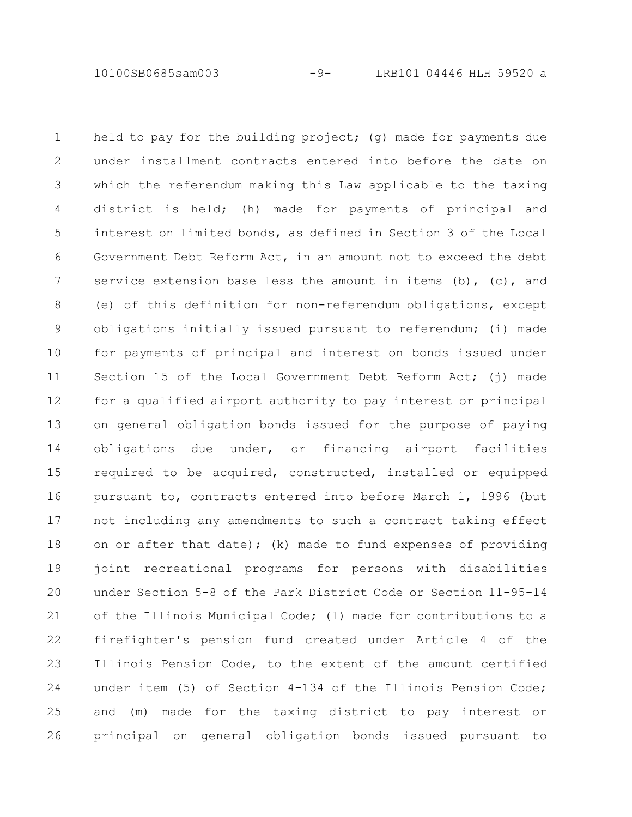10100SB0685sam003 -9- LRB101 04446 HLH 59520 a

held to pay for the building project; (q) made for payments due under installment contracts entered into before the date on which the referendum making this Law applicable to the taxing district is held; (h) made for payments of principal and interest on limited bonds, as defined in Section 3 of the Local Government Debt Reform Act, in an amount not to exceed the debt service extension base less the amount in items  $(b)$ ,  $(c)$ , and (e) of this definition for non-referendum obligations, except obligations initially issued pursuant to referendum; (i) made for payments of principal and interest on bonds issued under Section 15 of the Local Government Debt Reform Act; (j) made for a qualified airport authority to pay interest or principal on general obligation bonds issued for the purpose of paying obligations due under, or financing airport facilities required to be acquired, constructed, installed or equipped pursuant to, contracts entered into before March 1, 1996 (but not including any amendments to such a contract taking effect on or after that date); (k) made to fund expenses of providing joint recreational programs for persons with disabilities under Section 5-8 of the Park District Code or Section 11-95-14 of the Illinois Municipal Code; (l) made for contributions to a firefighter's pension fund created under Article 4 of the Illinois Pension Code, to the extent of the amount certified under item (5) of Section 4-134 of the Illinois Pension Code; and (m) made for the taxing district to pay interest or principal on general obligation bonds issued pursuant to 1 2 3 4 5 6 7 8 9 10 11 12 13 14 15 16 17 18 19 20 21 22 23 24 25 26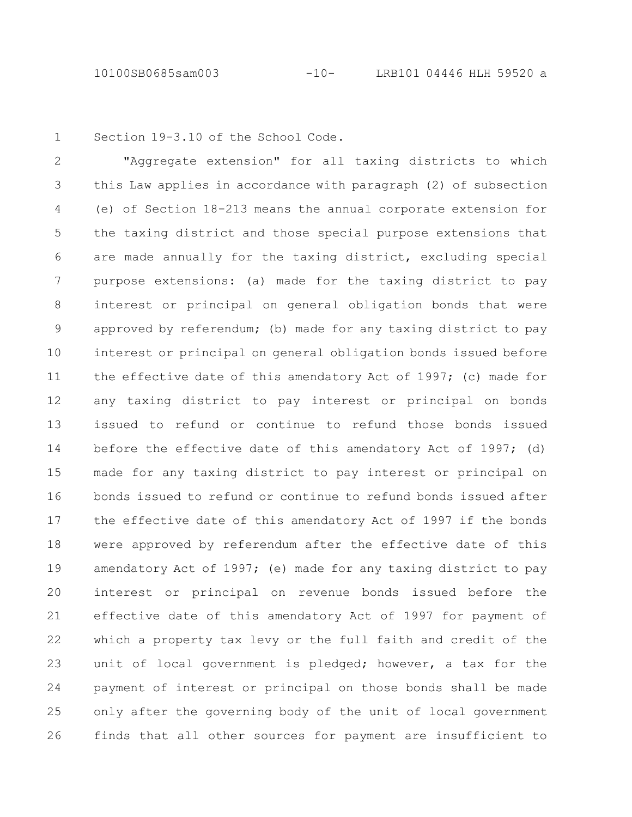1

Section 19-3.10 of the School Code.

"Aggregate extension" for all taxing districts to which this Law applies in accordance with paragraph (2) of subsection (e) of Section 18-213 means the annual corporate extension for the taxing district and those special purpose extensions that are made annually for the taxing district, excluding special purpose extensions: (a) made for the taxing district to pay interest or principal on general obligation bonds that were approved by referendum; (b) made for any taxing district to pay interest or principal on general obligation bonds issued before the effective date of this amendatory Act of 1997; (c) made for any taxing district to pay interest or principal on bonds issued to refund or continue to refund those bonds issued before the effective date of this amendatory Act of 1997; (d) made for any taxing district to pay interest or principal on bonds issued to refund or continue to refund bonds issued after the effective date of this amendatory Act of 1997 if the bonds were approved by referendum after the effective date of this amendatory Act of 1997; (e) made for any taxing district to pay interest or principal on revenue bonds issued before the effective date of this amendatory Act of 1997 for payment of which a property tax levy or the full faith and credit of the unit of local government is pledged; however, a tax for the payment of interest or principal on those bonds shall be made only after the governing body of the unit of local government finds that all other sources for payment are insufficient to 2 3 4 5 6 7 8 9 10 11 12 13 14 15 16 17 18 19 20 21 22 23 24 25 26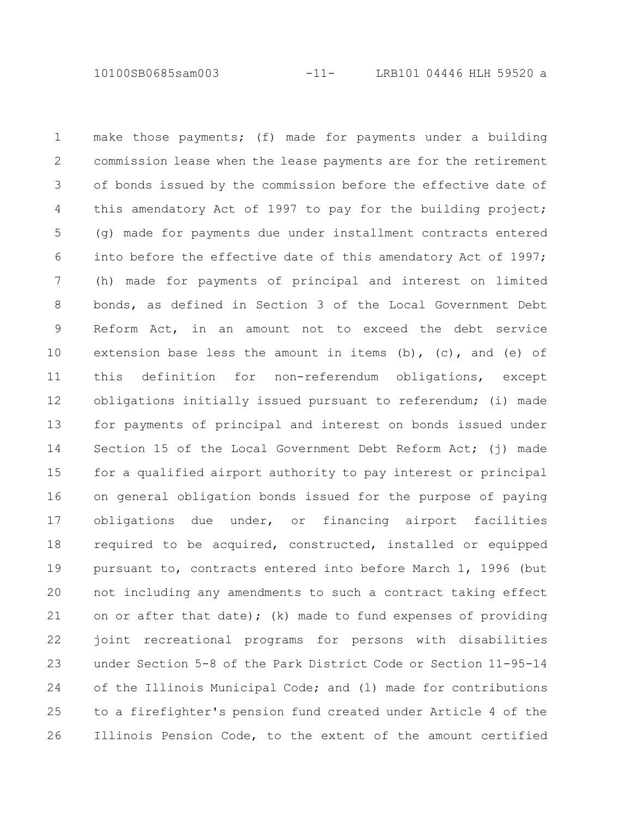10100SB0685sam003 -11- LRB101 04446 HLH 59520 a

make those payments; (f) made for payments under a building commission lease when the lease payments are for the retirement of bonds issued by the commission before the effective date of this amendatory Act of 1997 to pay for the building project; (g) made for payments due under installment contracts entered into before the effective date of this amendatory Act of 1997; (h) made for payments of principal and interest on limited bonds, as defined in Section 3 of the Local Government Debt Reform Act, in an amount not to exceed the debt service extension base less the amount in items  $(b)$ ,  $(c)$ , and  $(e)$  of this definition for non-referendum obligations, except obligations initially issued pursuant to referendum; (i) made for payments of principal and interest on bonds issued under Section 15 of the Local Government Debt Reform Act; (j) made for a qualified airport authority to pay interest or principal on general obligation bonds issued for the purpose of paying obligations due under, or financing airport facilities required to be acquired, constructed, installed or equipped pursuant to, contracts entered into before March 1, 1996 (but not including any amendments to such a contract taking effect on or after that date); (k) made to fund expenses of providing joint recreational programs for persons with disabilities under Section 5-8 of the Park District Code or Section 11-95-14 of the Illinois Municipal Code; and (l) made for contributions to a firefighter's pension fund created under Article 4 of the Illinois Pension Code, to the extent of the amount certified 1 2 3 4 5 6 7 8 9 10 11 12 13 14 15 16 17 18 19 20 21 22 23 24 25 26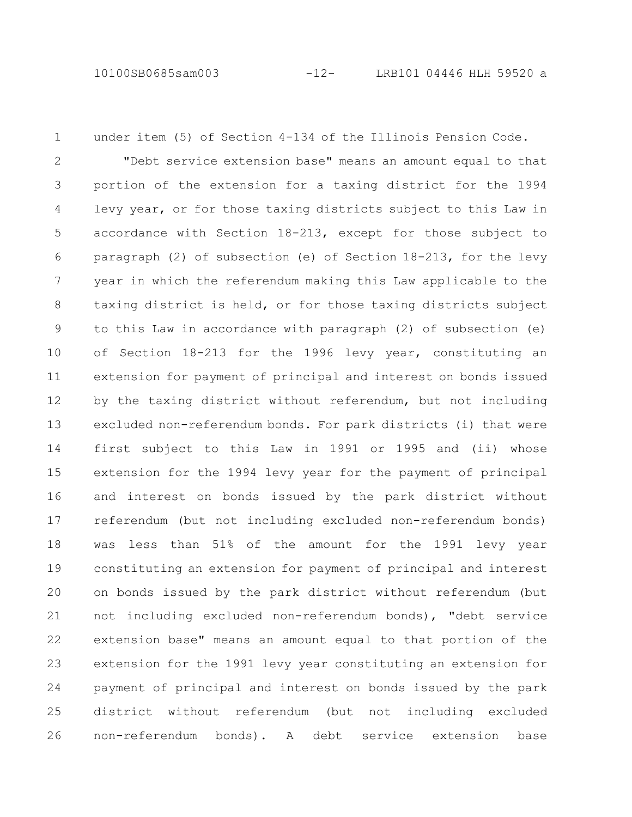under item (5) of Section 4-134 of the Illinois Pension Code. 1

"Debt service extension base" means an amount equal to that portion of the extension for a taxing district for the 1994 levy year, or for those taxing districts subject to this Law in accordance with Section 18-213, except for those subject to paragraph (2) of subsection (e) of Section 18-213, for the levy year in which the referendum making this Law applicable to the taxing district is held, or for those taxing districts subject to this Law in accordance with paragraph (2) of subsection (e) of Section 18-213 for the 1996 levy year, constituting an extension for payment of principal and interest on bonds issued by the taxing district without referendum, but not including excluded non-referendum bonds. For park districts (i) that were first subject to this Law in 1991 or 1995 and (ii) whose extension for the 1994 levy year for the payment of principal and interest on bonds issued by the park district without referendum (but not including excluded non-referendum bonds) was less than 51% of the amount for the 1991 levy year constituting an extension for payment of principal and interest on bonds issued by the park district without referendum (but not including excluded non-referendum bonds), "debt service extension base" means an amount equal to that portion of the extension for the 1991 levy year constituting an extension for payment of principal and interest on bonds issued by the park district without referendum (but not including excluded non-referendum bonds). A debt service extension base 2 3 4 5 6 7 8 9 10 11 12 13 14 15 16 17 18 19 20 21 22 23 24 25 26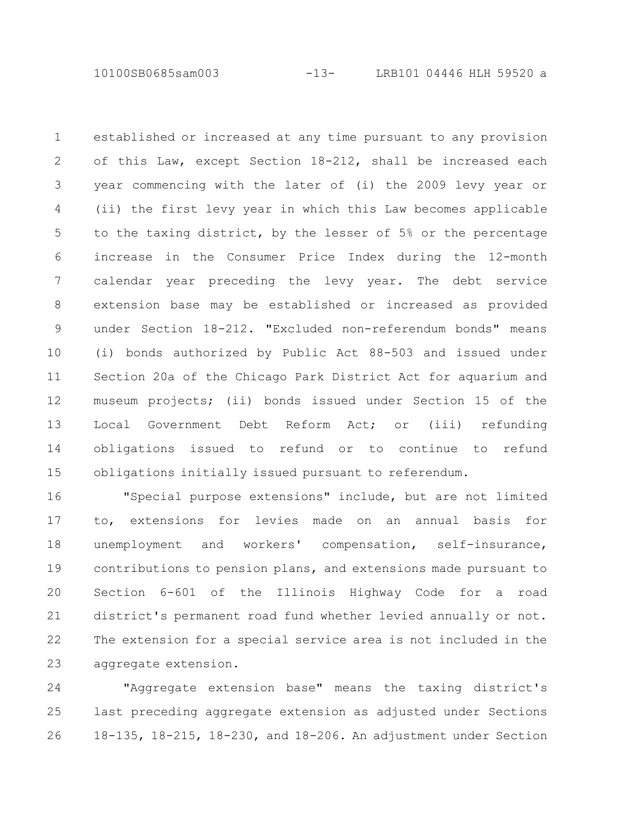10100SB0685sam003 -13- LRB101 04446 HLH 59520 a

established or increased at any time pursuant to any provision of this Law, except Section 18-212, shall be increased each year commencing with the later of (i) the 2009 levy year or (ii) the first levy year in which this Law becomes applicable to the taxing district, by the lesser of 5% or the percentage increase in the Consumer Price Index during the 12-month calendar year preceding the levy year. The debt service extension base may be established or increased as provided under Section 18-212. "Excluded non-referendum bonds" means (i) bonds authorized by Public Act 88-503 and issued under Section 20a of the Chicago Park District Act for aquarium and museum projects; (ii) bonds issued under Section 15 of the Local Government Debt Reform Act; or (iii) refunding obligations issued to refund or to continue to refund obligations initially issued pursuant to referendum. 1 2 3 4 5 6 7 8 9 10 11 12 13 14 15

"Special purpose extensions" include, but are not limited to, extensions for levies made on an annual basis for unemployment and workers' compensation, self-insurance, contributions to pension plans, and extensions made pursuant to Section 6-601 of the Illinois Highway Code for a road district's permanent road fund whether levied annually or not. The extension for a special service area is not included in the aggregate extension. 16 17 18 19 20 21 22 23

"Aggregate extension base" means the taxing district's last preceding aggregate extension as adjusted under Sections 18-135, 18-215, 18-230, and 18-206. An adjustment under Section 24 25 26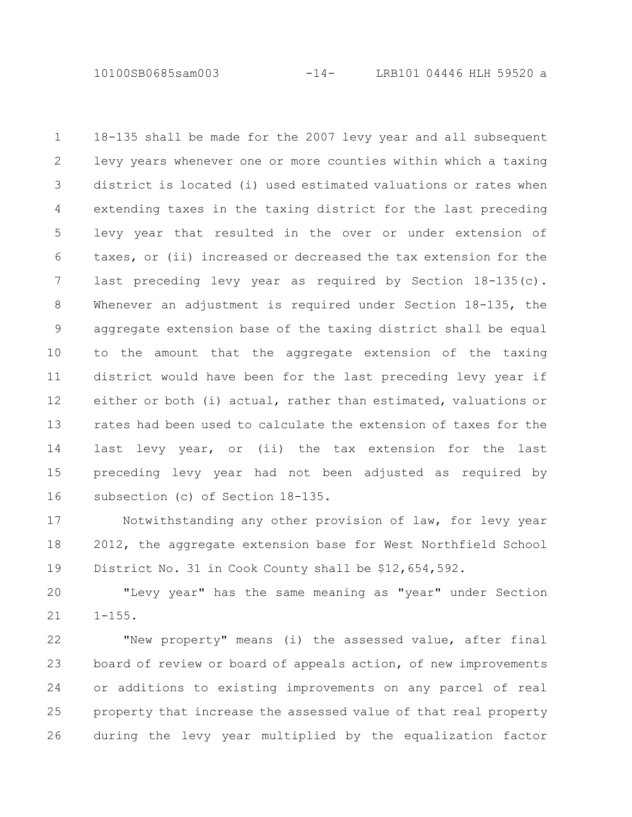10100SB0685sam003 -14- LRB101 04446 HLH 59520 a

18-135 shall be made for the 2007 levy year and all subsequent levy years whenever one or more counties within which a taxing district is located (i) used estimated valuations or rates when extending taxes in the taxing district for the last preceding levy year that resulted in the over or under extension of taxes, or (ii) increased or decreased the tax extension for the last preceding levy year as required by Section 18-135(c). Whenever an adjustment is required under Section 18-135, the aggregate extension base of the taxing district shall be equal to the amount that the aggregate extension of the taxing district would have been for the last preceding levy year if either or both (i) actual, rather than estimated, valuations or rates had been used to calculate the extension of taxes for the last levy year, or (ii) the tax extension for the last preceding levy year had not been adjusted as required by subsection (c) of Section 18-135. 1 2 3 4 5 6 7 8 9 10 11 12 13 14 15 16

Notwithstanding any other provision of law, for levy year 2012, the aggregate extension base for West Northfield School District No. 31 in Cook County shall be \$12,654,592. 17 18 19

"Levy year" has the same meaning as "year" under Section  $1 - 155$ . 20 21

"New property" means (i) the assessed value, after final board of review or board of appeals action, of new improvements or additions to existing improvements on any parcel of real property that increase the assessed value of that real property during the levy year multiplied by the equalization factor 22 23 24 25 26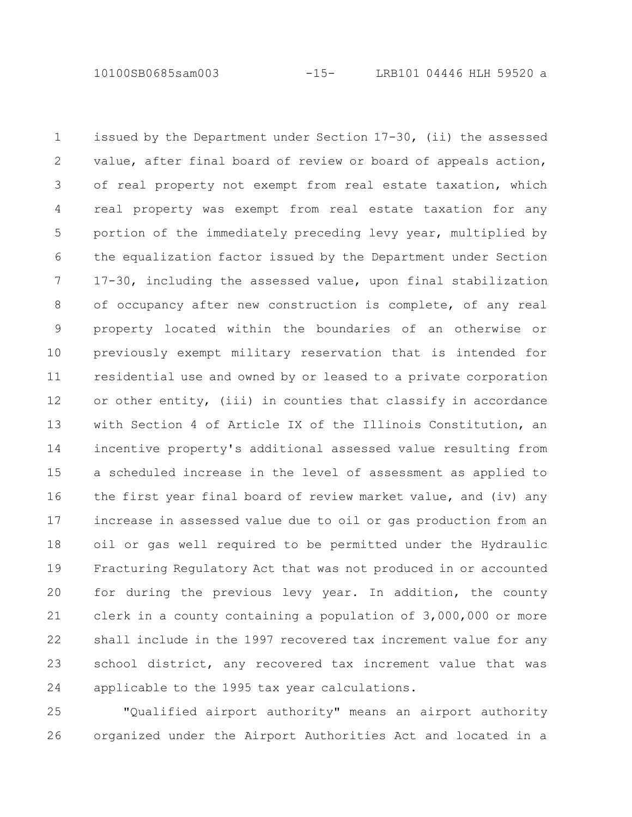10100SB0685sam003 -15- LRB101 04446 HLH 59520 a

issued by the Department under Section 17-30, (ii) the assessed value, after final board of review or board of appeals action, of real property not exempt from real estate taxation, which real property was exempt from real estate taxation for any portion of the immediately preceding levy year, multiplied by the equalization factor issued by the Department under Section 17-30, including the assessed value, upon final stabilization of occupancy after new construction is complete, of any real property located within the boundaries of an otherwise or previously exempt military reservation that is intended for residential use and owned by or leased to a private corporation or other entity, (iii) in counties that classify in accordance with Section 4 of Article IX of the Illinois Constitution, an incentive property's additional assessed value resulting from a scheduled increase in the level of assessment as applied to the first year final board of review market value, and (iv) any increase in assessed value due to oil or gas production from an oil or gas well required to be permitted under the Hydraulic Fracturing Regulatory Act that was not produced in or accounted for during the previous levy year. In addition, the county clerk in a county containing a population of 3,000,000 or more shall include in the 1997 recovered tax increment value for any school district, any recovered tax increment value that was applicable to the 1995 tax year calculations. 1 2 3 4 5 6 7 8 9 10 11 12 13 14 15 16 17 18 19 20 21 22 23 24

"Qualified airport authority" means an airport authority organized under the Airport Authorities Act and located in a 25 26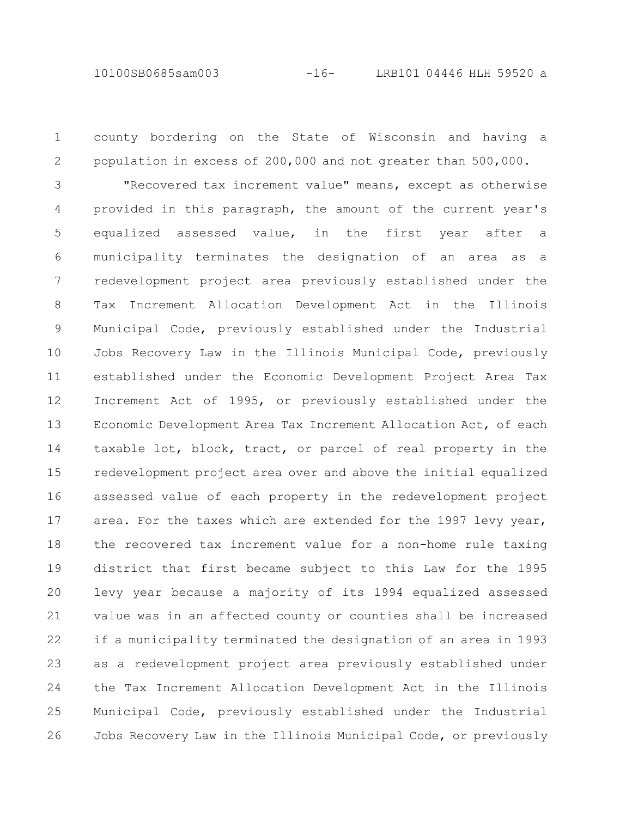10100SB0685sam003 -16- LRB101 04446 HLH 59520 a

county bordering on the State of Wisconsin and having a

1

population in excess of 200,000 and not greater than 500,000. "Recovered tax increment value" means, except as otherwise provided in this paragraph, the amount of the current year's equalized assessed value, in the first year after a municipality terminates the designation of an area as a redevelopment project area previously established under the Tax Increment Allocation Development Act in the Illinois Municipal Code, previously established under the Industrial Jobs Recovery Law in the Illinois Municipal Code, previously established under the Economic Development Project Area Tax Increment Act of 1995, or previously established under the Economic Development Area Tax Increment Allocation Act, of each taxable lot, block, tract, or parcel of real property in the redevelopment project area over and above the initial equalized assessed value of each property in the redevelopment project area. For the taxes which are extended for the 1997 levy year, the recovered tax increment value for a non-home rule taxing district that first became subject to this Law for the 1995 levy year because a majority of its 1994 equalized assessed value was in an affected county or counties shall be increased if a municipality terminated the designation of an area in 1993 as a redevelopment project area previously established under the Tax Increment Allocation Development Act in the Illinois Municipal Code, previously established under the Industrial Jobs Recovery Law in the Illinois Municipal Code, or previously 2 3 4 5 6 7 8 9 10 11 12 13 14 15 16 17 18 19 20 21 22 23 24 25 26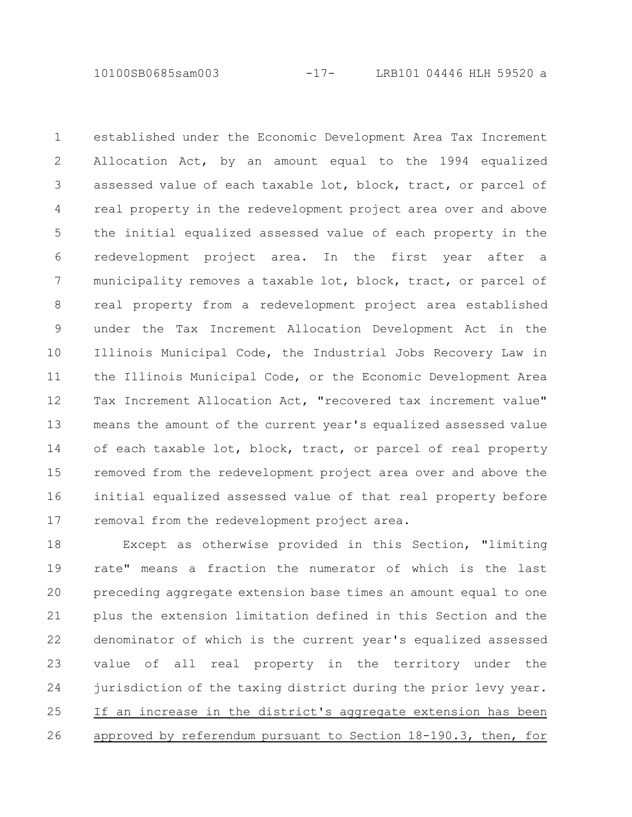10100SB0685sam003 -17- LRB101 04446 HLH 59520 a

established under the Economic Development Area Tax Increment Allocation Act, by an amount equal to the 1994 equalized assessed value of each taxable lot, block, tract, or parcel of real property in the redevelopment project area over and above the initial equalized assessed value of each property in the redevelopment project area. In the first year after a municipality removes a taxable lot, block, tract, or parcel of real property from a redevelopment project area established under the Tax Increment Allocation Development Act in the Illinois Municipal Code, the Industrial Jobs Recovery Law in the Illinois Municipal Code, or the Economic Development Area Tax Increment Allocation Act, "recovered tax increment value" means the amount of the current year's equalized assessed value of each taxable lot, block, tract, or parcel of real property removed from the redevelopment project area over and above the initial equalized assessed value of that real property before removal from the redevelopment project area. 1 2 3 4 5 6 7 8 9 10 11 12 13 14 15 16 17

Except as otherwise provided in this Section, "limiting rate" means a fraction the numerator of which is the last preceding aggregate extension base times an amount equal to one plus the extension limitation defined in this Section and the denominator of which is the current year's equalized assessed value of all real property in the territory under the jurisdiction of the taxing district during the prior levy year. If an increase in the district's aggregate extension has been approved by referendum pursuant to Section 18-190.3, then, for 18 19 20 21 22 23 24 25 26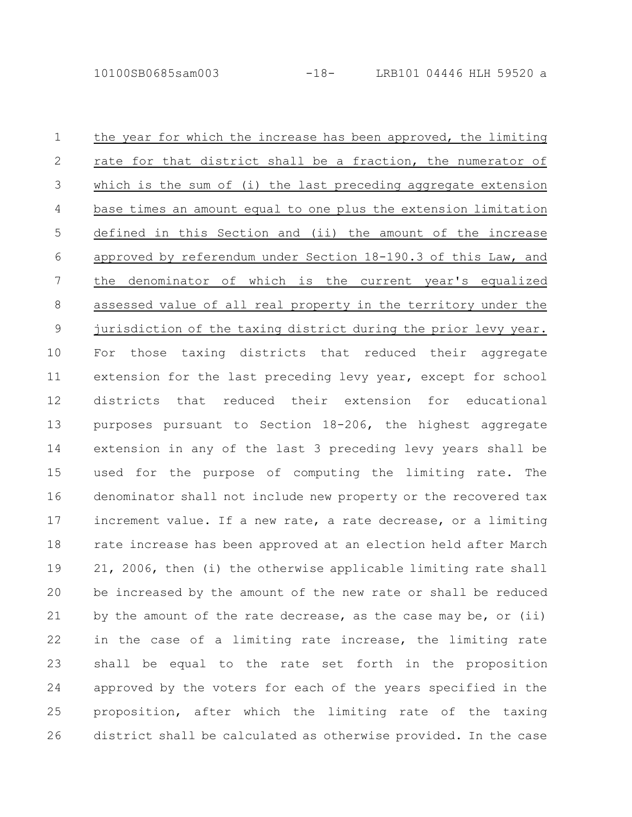the year for which the increase has been approved, the limiting rate for that district shall be a fraction, the numerator of which is the sum of (i) the last preceding aggregate extension base times an amount equal to one plus the extension limitation defined in this Section and (ii) the amount of the increase approved by referendum under Section 18-190.3 of this Law, and the denominator of which is the current year's equalized assessed value of all real property in the territory under the jurisdiction of the taxing district during the prior levy year. For those taxing districts that reduced their aggregate extension for the last preceding levy year, except for school districts that reduced their extension for educational purposes pursuant to Section 18-206, the highest aggregate extension in any of the last 3 preceding levy years shall be used for the purpose of computing the limiting rate. The denominator shall not include new property or the recovered tax increment value. If a new rate, a rate decrease, or a limiting rate increase has been approved at an election held after March 21, 2006, then (i) the otherwise applicable limiting rate shall be increased by the amount of the new rate or shall be reduced by the amount of the rate decrease, as the case may be, or (ii) in the case of a limiting rate increase, the limiting rate shall be equal to the rate set forth in the proposition approved by the voters for each of the years specified in the proposition, after which the limiting rate of the taxing district shall be calculated as otherwise provided. In the case 1 2 3 4 5 6 7 8 9 10 11 12 13 14 15 16 17 18 19 20 21 22 23 24 25 26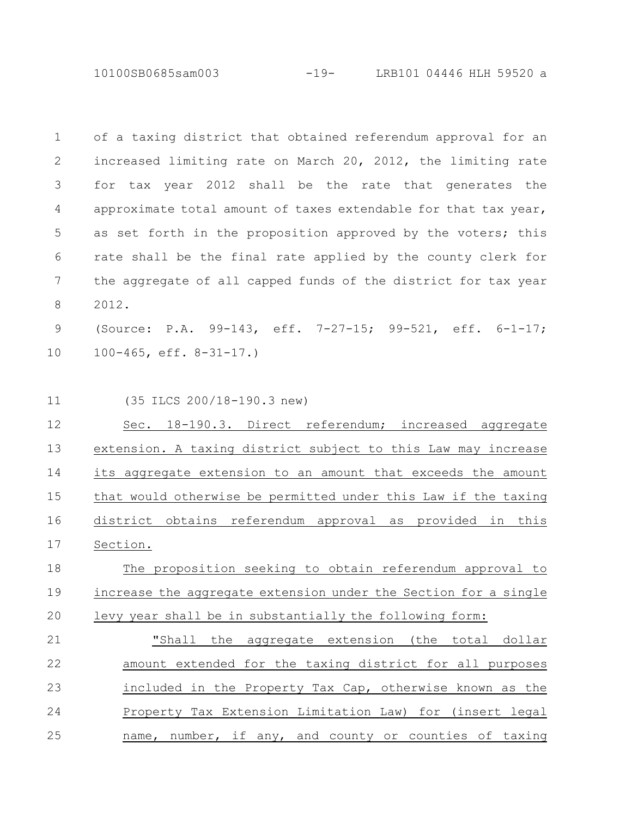10100SB0685sam003 -19- LRB101 04446 HLH 59520 a

| $\overline{1}$ | of a taxing district that obtained referendum approval for an   |
|----------------|-----------------------------------------------------------------|
| $\overline{2}$ | increased limiting rate on March 20, 2012, the limiting rate    |
| 3              | for tax year 2012 shall be the rate that generates the          |
| 4              | approximate total amount of taxes extendable for that tax year, |
| 5              | as set forth in the proposition approved by the voters; this    |
| 6              | rate shall be the final rate applied by the county clerk for    |
| 7              | the aggregate of all capped funds of the district for tax year  |
| 8              | 2012.                                                           |

(Source: P.A. 99-143, eff. 7-27-15; 99-521, eff. 6-1-17; 100-465, eff. 8-31-17.) 9 10

(35 ILCS 200/18-190.3 new) 11

Sec. 18-190.3. Direct referendum; increased aggregate extension. A taxing district subject to this Law may increase its aggregate extension to an amount that exceeds the amount that would otherwise be permitted under this Law if the taxing district obtains referendum approval as provided in this Section. 12 13 14 15 16 17

## The proposition seeking to obtain referendum approval to increase the aggregate extension under the Section for a single levy year shall be in substantially the following form: 18 19 20

"Shall the aggregate extension (the total dollar amount extended for the taxing district for all purposes included in the Property Tax Cap, otherwise known as the Property Tax Extension Limitation Law) for (insert legal name, number, if any, and county or counties of taxing 21 22 23 24 25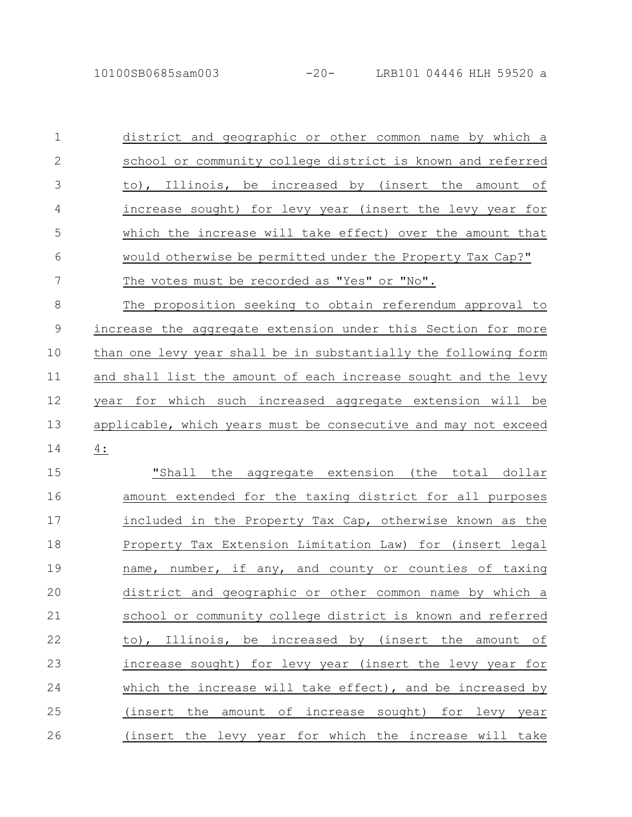district and geographic or other common name by which a school or community college district is known and referred to), Illinois, be increased by (insert the amount of increase sought) for levy year (insert the levy year for which the increase will take effect) over the amount that would otherwise be permitted under the Property Tax Cap?" The votes must be recorded as "Yes" or "No". The proposition seeking to obtain referendum approval to increase the aggregate extension under this Section for more than one levy year shall be in substantially the following form and shall list the amount of each increase sought and the levy 1 2 3 4 5 6 7 8 9 10 11

year for which such increased aggregate extension will be applicable, which years must be consecutive and may not exceed 4: 12 13 14

"Shall the aggregate extension (the total dollar amount extended for the taxing district for all purposes included in the Property Tax Cap, otherwise known as the Property Tax Extension Limitation Law) for (insert legal name, number, if any, and county or counties of taxing district and geographic or other common name by which a school or community college district is known and referred to), Illinois, be increased by (insert the amount of increase sought) for levy year (insert the levy year for which the increase will take effect), and be increased by (insert the amount of increase sought) for levy year (insert the levy year for which the increase will take 15 16 17 18 19 20 21 22 23 24 25 26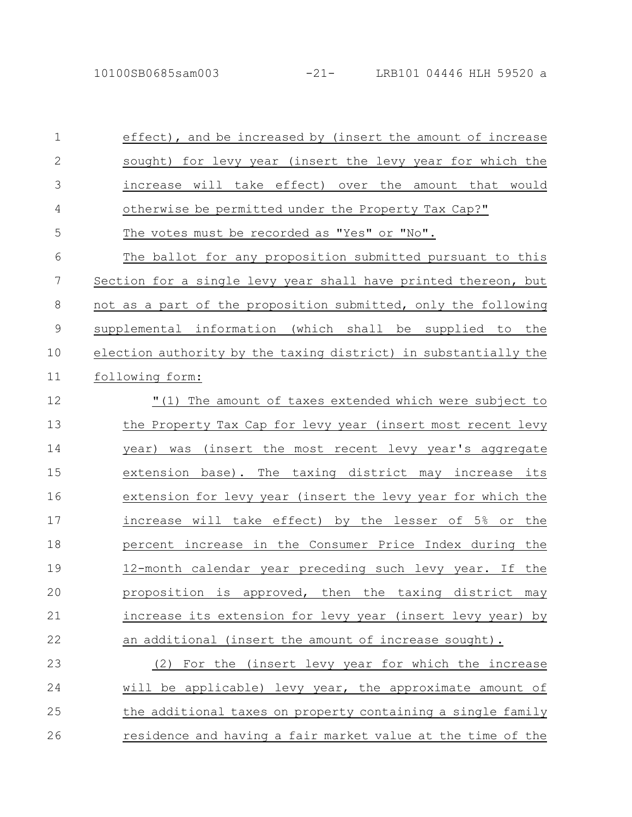10100SB0685sam003 -21- LRB101 04446 HLH 59520 a

effect), and be increased by (insert the amount of increase sought) for levy year (insert the levy year for which the increase will take effect) over the amount that would otherwise be permitted under the Property Tax Cap?" The votes must be recorded as "Yes" or "No". The ballot for any proposition submitted pursuant to this Section for a single levy year shall have printed thereon, but not as a part of the proposition submitted, only the following supplemental information (which shall be supplied to the election authority by the taxing district) in substantially the following form: "(1) The amount of taxes extended which were subject to the Property Tax Cap for levy year (insert most recent levy year) was (insert the most recent levy year's aggregate extension base). The taxing district may increase its extension for levy year (insert the levy year for which the increase will take effect) by the lesser of 5% or the percent increase in the Consumer Price Index during the 12-month calendar year preceding such levy year. If the proposition is approved, then the taxing district may increase its extension for levy year (insert levy year) by an additional (insert the amount of increase sought). (2) For the (insert levy year for which the increase will be applicable) levy year, the approximate amount of the additional taxes on property containing a single family 1 2 3 4 5 6 7 8 9 10 11 12 13 14 15 16 17 18 19 20 21 22 23 24 25

residence and having a fair market value at the time of the

26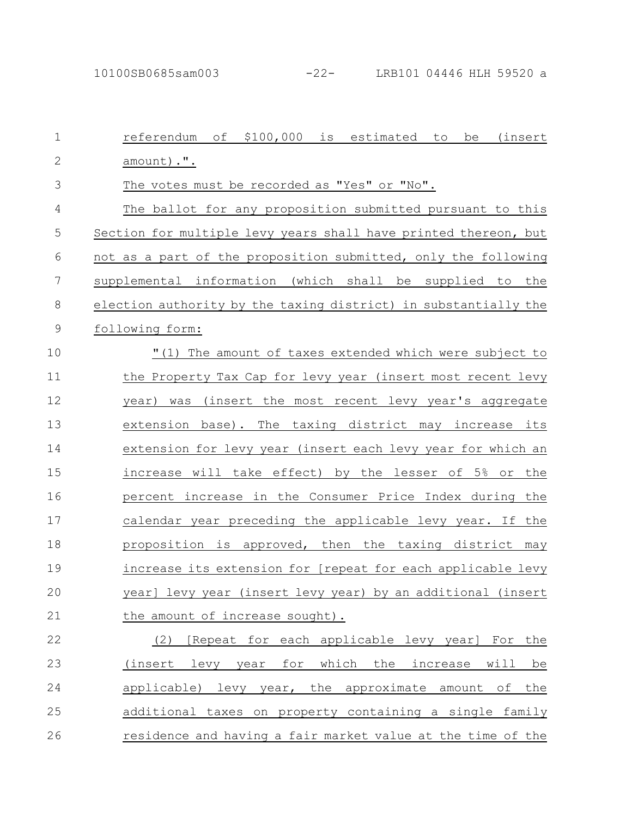10100SB0685sam003 -22- LRB101 04446 HLH 59520 a

referendum of \$100,000 is estimated to be (insert amount).". The votes must be recorded as "Yes" or "No". The ballot for any proposition submitted pursuant to this Section for multiple levy years shall have printed thereon, but not as a part of the proposition submitted, only the following supplemental information (which shall be supplied to the election authority by the taxing district) in substantially the following form: "(1) The amount of taxes extended which were subject to the Property Tax Cap for levy year (insert most recent levy year) was (insert the most recent levy year's aggregate extension base). The taxing district may increase its extension for levy year (insert each levy year for which an increase will take effect) by the lesser of 5% or the percent increase in the Consumer Price Index during the calendar year preceding the applicable levy year. If the proposition is approved, then the taxing district may increase its extension for [repeat for each applicable levy year] levy year (insert levy year) by an additional (insert the amount of increase sought). 1 2 3 4 5 6 7 8 9 10 11 12 13 14 15 16 17 18 19 20 21

(2) [Repeat for each applicable levy year] For the (insert levy year for which the increase will be applicable) levy year, the approximate amount of the additional taxes on property containing a single family residence and having a fair market value at the time of the 22 23 24 25 26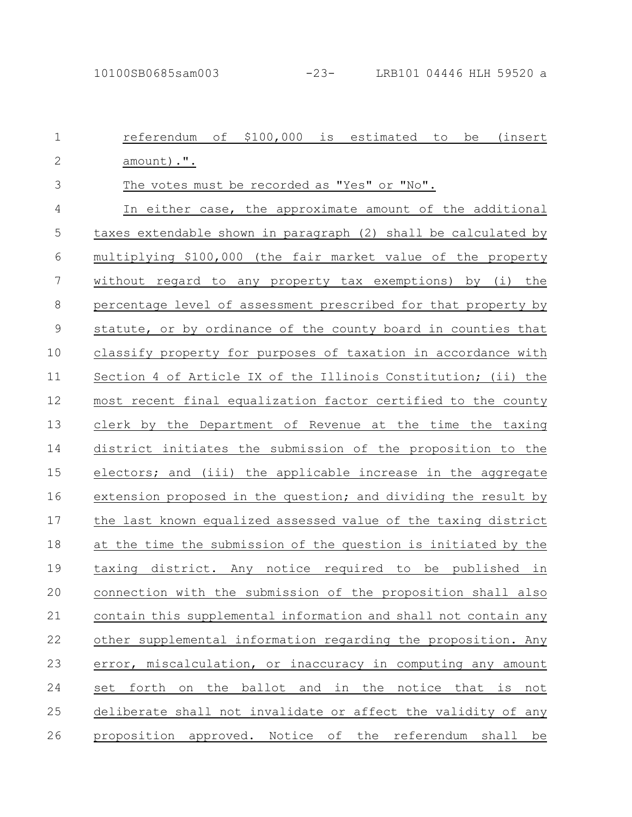| $\mathbf 1$   | \$100,000<br>referendum<br>оf<br>is<br>estimated<br>(insert<br>to<br>be |
|---------------|-------------------------------------------------------------------------|
| $\mathbf{2}$  | amount) .".                                                             |
| 3             | The votes must be recorded as "Yes" or "No".                            |
| 4             | In either case, the approximate amount of the additional                |
| 5             | taxes extendable shown in paragraph (2) shall be calculated by          |
| 6             | multiplying \$100,000 (the fair market value of the property            |
| 7             | without regard to any property tax exemptions) by (i) the               |
| $\,8\,$       | percentage level of assessment prescribed for that property by          |
| $\mathcal{G}$ | statute, or by ordinance of the county board in counties that           |
| 10            | classify property for purposes of taxation in accordance with           |
| 11            | Section 4 of Article IX of the Illinois Constitution; (ii) the          |
| 12            | most recent final equalization factor certified to the county           |
| 13            | clerk by the Department of Revenue at the time the taxing               |
| 14            | district initiates the submission of the proposition to the             |
| 15            | electors; and (iii) the applicable increase in the aggregate            |
| 16            | extension proposed in the question; and dividing the result by          |
| 17            | the last known equalized assessed value of the taxing district          |
| 18            | at the time the submission of the question is initiated by the          |
| 19            | taxing district. Any notice required to be published in                 |
| 20            | connection with the submission of the proposition shall also            |
| 21            | contain this supplemental information and shall not contain any         |
| 22            | other supplemental information regarding the proposition. Any           |
| 23            | error, miscalculation, or inaccuracy in computing any amount            |
| 24            | set forth on the ballot and in the notice that is not                   |
| 25            | deliberate shall not invalidate or affect the validity of any           |
| 26            | proposition approved. Notice of the referendum shall be                 |